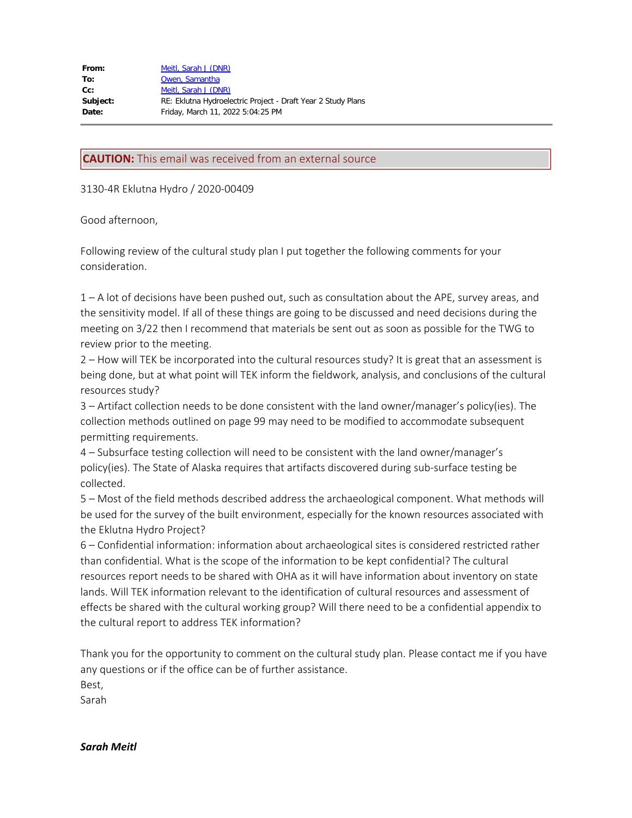**CAUTION:** This email was received from an external source

3130-4R Eklutna Hydro / 2020-00409

## Good afternoon,

Following review of the cultural study plan I put together the following comments for your consideration.

1 – A lot of decisions have been pushed out, such as consultation about the APE, survey areas, and the sensitivity model. If all of these things are going to be discussed and need decisions during the meeting on 3/22 then I recommend that materials be sent out as soon as possible for the TWG to review prior to the meeting.

2 – How will TEK be incorporated into the cultural resources study? It is great that an assessment is being done, but at what point will TEK inform the fieldwork, analysis, and conclusions of the cultural resources study?

3 – Artifact collection needs to be done consistent with the land owner/manager's policy(ies). The collection methods outlined on page 99 may need to be modified to accommodate subsequent permitting requirements.

4 – Subsurface testing collection will need to be consistent with the land owner/manager's policy(ies). The State of Alaska requires that artifacts discovered during sub-surface testing be collected.

5 – Most of the field methods described address the archaeological component. What methods will be used for the survey of the built environment, especially for the known resources associated with the Eklutna Hydro Project?

6 – Confidential information: information about archaeological sites is considered restricted rather than confidential. What is the scope of the information to be kept confidential? The cultural resources report needs to be shared with OHA as it will have information about inventory on state lands. Will TEK information relevant to the identification of cultural resources and assessment of effects be shared with the cultural working group? Will there need to be a confidential appendix to the cultural report to address TEK information?

Thank you for the opportunity to comment on the cultural study plan. Please contact me if you have any questions or if the office can be of further assistance.

Best,

Sarah

*Sarah Meitl*